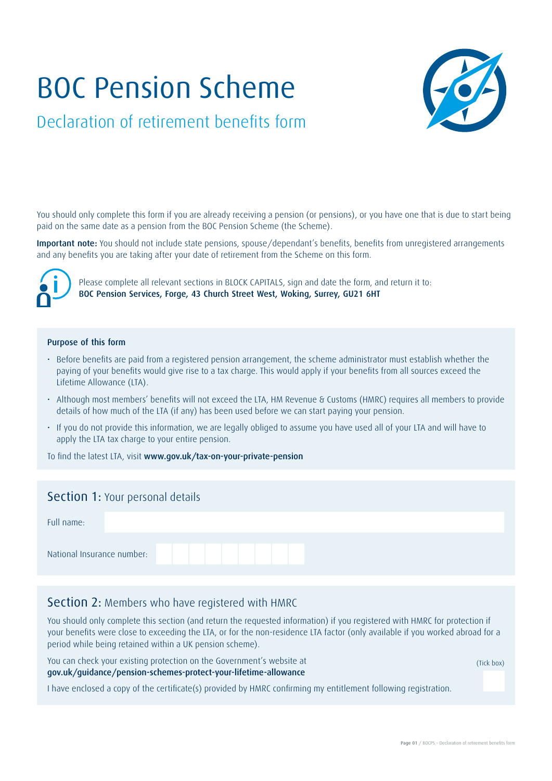# BOC Pension Scheme



# Declaration of retirement benefits form

You should only complete this form if you are already receiving a pension (or pensions), or you have one that is due to start being paid on the same date as a pension from the BOC Pension Scheme (the Scheme).

Important note: You should not include state pensions, spouse/dependant's benefits, benefits from unregistered arrangements and any benefits you are taking after your date of retirement from the Scheme on this form.



Please complete all relevant sections in BLOCK CAPITALS, sign and date the form, and return it to: BOC Pension Services, Forge, 43 Church Street West, Woking, Surrey, GU21 6HT

#### Purpose of this form

- Before benefits are paid from a registered pension arrangement, the scheme administrator must establish whether the paying of your benefits would give rise to a tax charge. This would apply if your benefits from all sources exceed the Lifetime Allowance (LTA).
- Although most members' benefits will not exceed the LTA, HM Revenue & Customs (HMRC) requires all members to provide details of how much of the LTA (if any) has been used before we can start paying your pension.
- If you do not provide this information, we are legally obliged to assume you have used all of your LTA and will have to apply the LTA tax charge to your entire pension.

To find the latest LTA, visit www.gov.uk/tax-on-your-private-pension

#### Section 1: Your personal details

| Full name:                 |  |  |  |  |  |  |
|----------------------------|--|--|--|--|--|--|
| National Insurance number: |  |  |  |  |  |  |

### Section 2: Members who have registered with HMRC

You should only complete this section (and return the requested information) if you registered with HMRC for protection if your benefits were close to exceeding the LTA, or for the non-residence LTA factor (only available if you worked abroad for a period while being retained within a UK pension scheme).

You can check your existing protection on the Government's website at gov.uk/guidance/pension-schemes-protect-your-lifetime-allowance

(Tick box)

I have enclosed a copy of the certificate(s) provided by HMRC confirming my entitlement following registration.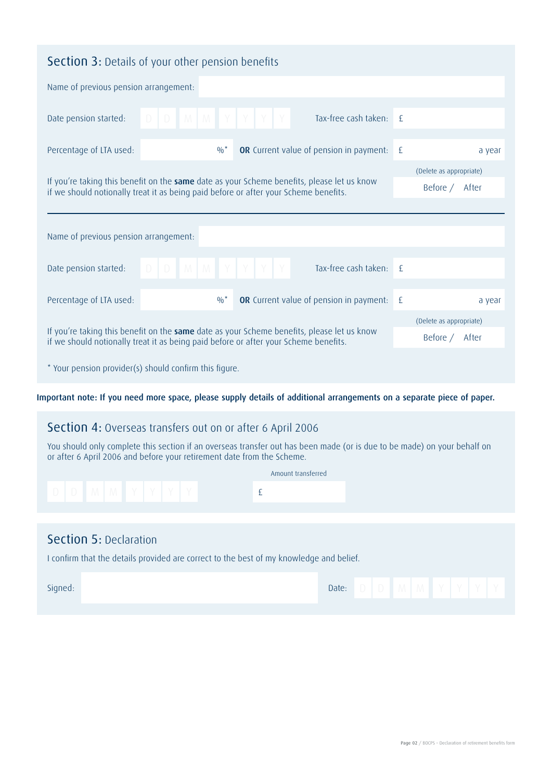| <b>Section 3:</b> Details of your other pension benefits                                                                                                                                                                        |                             |                                           |                                                  |               |        |  |  |  |  |  |  |
|---------------------------------------------------------------------------------------------------------------------------------------------------------------------------------------------------------------------------------|-----------------------------|-------------------------------------------|--------------------------------------------------|---------------|--------|--|--|--|--|--|--|
| Name of previous pension arrangement:                                                                                                                                                                                           |                             |                                           |                                                  |               |        |  |  |  |  |  |  |
| Date pension started:                                                                                                                                                                                                           | $D$ $D$ $M$ $M$ $Y$ $Y$ $Y$ |                                           | Tax-free cash taken:                             | $-\mathsf{F}$ |        |  |  |  |  |  |  |
| Percentage of LTA used:                                                                                                                                                                                                         |                             | $0/0^*$                                   | <b>OR</b> Current value of pension in payment:   | Æ             | a year |  |  |  |  |  |  |
| (Delete as appropriate)<br>If you're taking this benefit on the same date as your Scheme benefits, please let us know<br>Before / After<br>if we should notionally treat it as being paid before or after your Scheme benefits. |                             |                                           |                                                  |               |        |  |  |  |  |  |  |
| Name of previous pension arrangement:                                                                                                                                                                                           |                             |                                           |                                                  |               |        |  |  |  |  |  |  |
| Date pension started:                                                                                                                                                                                                           | $D$ $D$ $M$ $M$ $Y$ $Y$ $Y$ |                                           | Y<br>Tax-free cash taken:                        | $\mathsf{f}$  |        |  |  |  |  |  |  |
| Percentage of LTA used:                                                                                                                                                                                                         |                             | $0/0^*$                                   | <b>OR</b> Current value of pension in payment: £ |               | a year |  |  |  |  |  |  |
| If you're taking this benefit on the same date as your Scheme benefits, please let us know<br>if we should notionally treat it as being paid before or after your Scheme benefits.                                              |                             | (Delete as appropriate)<br>Before / After |                                                  |               |        |  |  |  |  |  |  |
| * Your pension provider(s) should confirm this figure.                                                                                                                                                                          |                             |                                           |                                                  |               |        |  |  |  |  |  |  |

Important note: If you need more space, please supply details of additional arrangements on a separate piece of paper.

# Section 4: Overseas transfers out on or after 6 April 2006

You should only complete this section if an overseas transfer out has been made (or is due to be made) on your behalf on or after 6 April 2006 and before your retirement date from the Scheme.

| D   D   M   M   Y   Y   Y   Y   Y |  |  |  |
|-----------------------------------|--|--|--|
|                                   |  |  |  |
| Coction E. Declaration            |  |  |  |

## Section 5: Declaration

I confirm that the details provided are correct to the best of my knowledge and belief.

| Signed: | Date: |  | . . | $\mathbf{1}$ V $\mathbf{1}$ |  |  |
|---------|-------|--|-----|-----------------------------|--|--|
|         |       |  |     |                             |  |  |